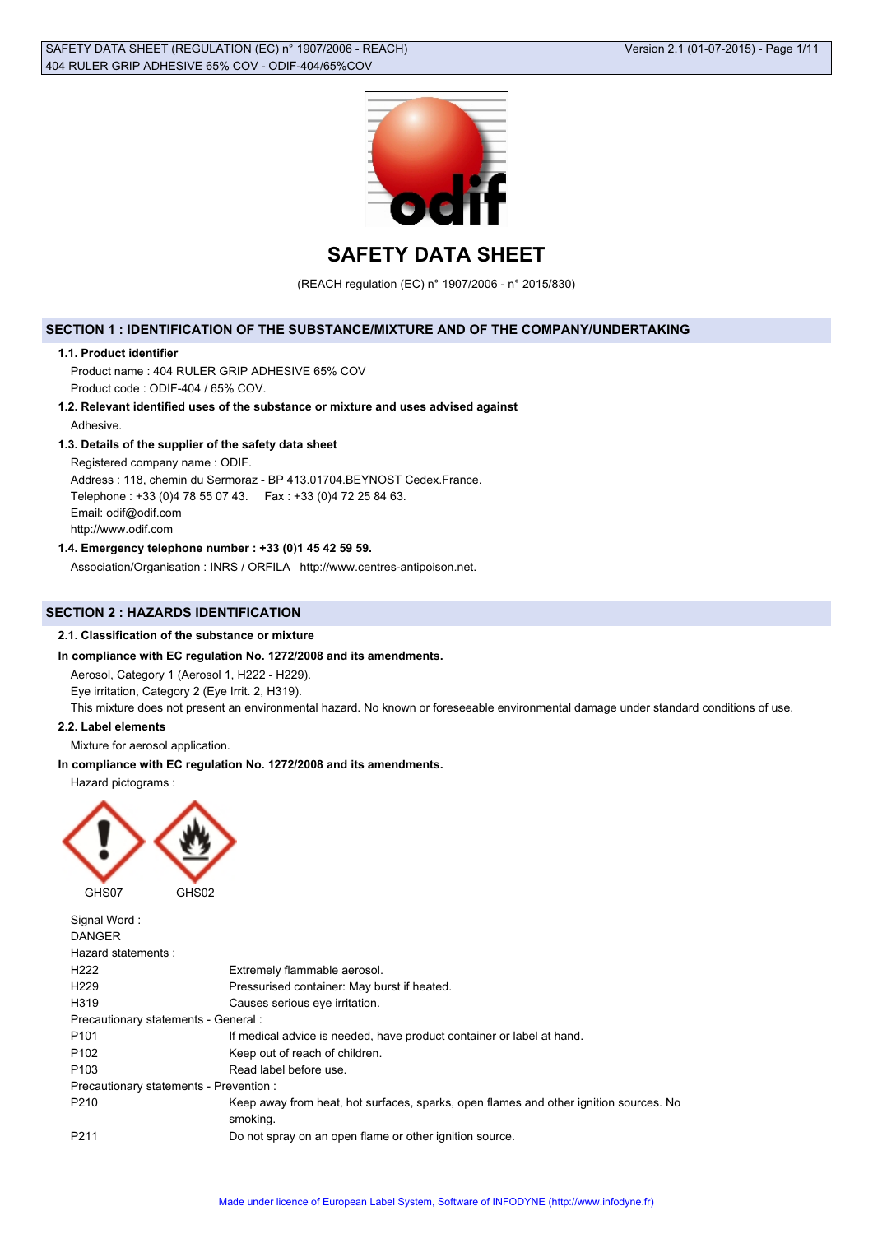

# **SAFETY DATA SHEET**

(REACH regulation (EC) n° 1907/2006 - n° 2015/830)

# **SECTION 1 : IDENTIFICATION OF THE SUBSTANCE/MIXTURE AND OF THE COMPANY/UNDERTAKING**

#### **1.1. Product identifier**

Product name : 404 RULER GRIP ADHESIVE 65% COV Product code : ODIF-404 / 65% COV.

**1.2. Relevant identified uses of the substance or mixture and uses advised against** Adhesive.

## **1.3. Details of the supplier of the safety data sheet**

Registered company name : ODIF.

Address : 118, chemin du Sermoraz - BP 413.01704.BEYNOST Cedex.France. Telephone : +33 (0)4 78 55 07 43. Fax : +33 (0)4 72 25 84 63. Email: odif@odif.com http://www.odif.com

### **1.4. Emergency telephone number : +33 (0)1 45 42 59 59.**

Association/Organisation : INRS / ORFILA http://www.centres-antipoison.net.

# **SECTION 2 : HAZARDS IDENTIFICATION**

### **2.1. Classification of the substance or mixture**

### **In compliance with EC regulation No. 1272/2008 and its amendments.**

Aerosol, Category 1 (Aerosol 1, H222 - H229).

Eye irritation, Category 2 (Eye Irrit. 2, H319).

This mixture does not present an environmental hazard. No known or foreseeable environmental damage under standard conditions of use.

#### **2.2. Label elements**

Mixture for aerosol application.

### **In compliance with EC regulation No. 1272/2008 and its amendments.**

Hazard pictograms :



| Signal Word:                            |                                                                                                   |
|-----------------------------------------|---------------------------------------------------------------------------------------------------|
| <b>DANGER</b>                           |                                                                                                   |
| Hazard statements:                      |                                                                                                   |
| H <sub>222</sub>                        | Extremely flammable aerosol.                                                                      |
| H <sub>229</sub>                        | Pressurised container: May burst if heated.                                                       |
| H <sub>3</sub> 19                       | Causes serious eye irritation.                                                                    |
| Precautionary statements - General :    |                                                                                                   |
| P <sub>101</sub>                        | If medical advice is needed, have product container or label at hand.                             |
| P <sub>102</sub>                        | Keep out of reach of children.                                                                    |
| P <sub>103</sub>                        | Read label before use.                                                                            |
| Precautionary statements - Prevention : |                                                                                                   |
| P210                                    | Keep away from heat, hot surfaces, sparks, open flames and other ignition sources. No<br>smoking. |
| P <sub>211</sub>                        | Do not spray on an open flame or other ignition source.                                           |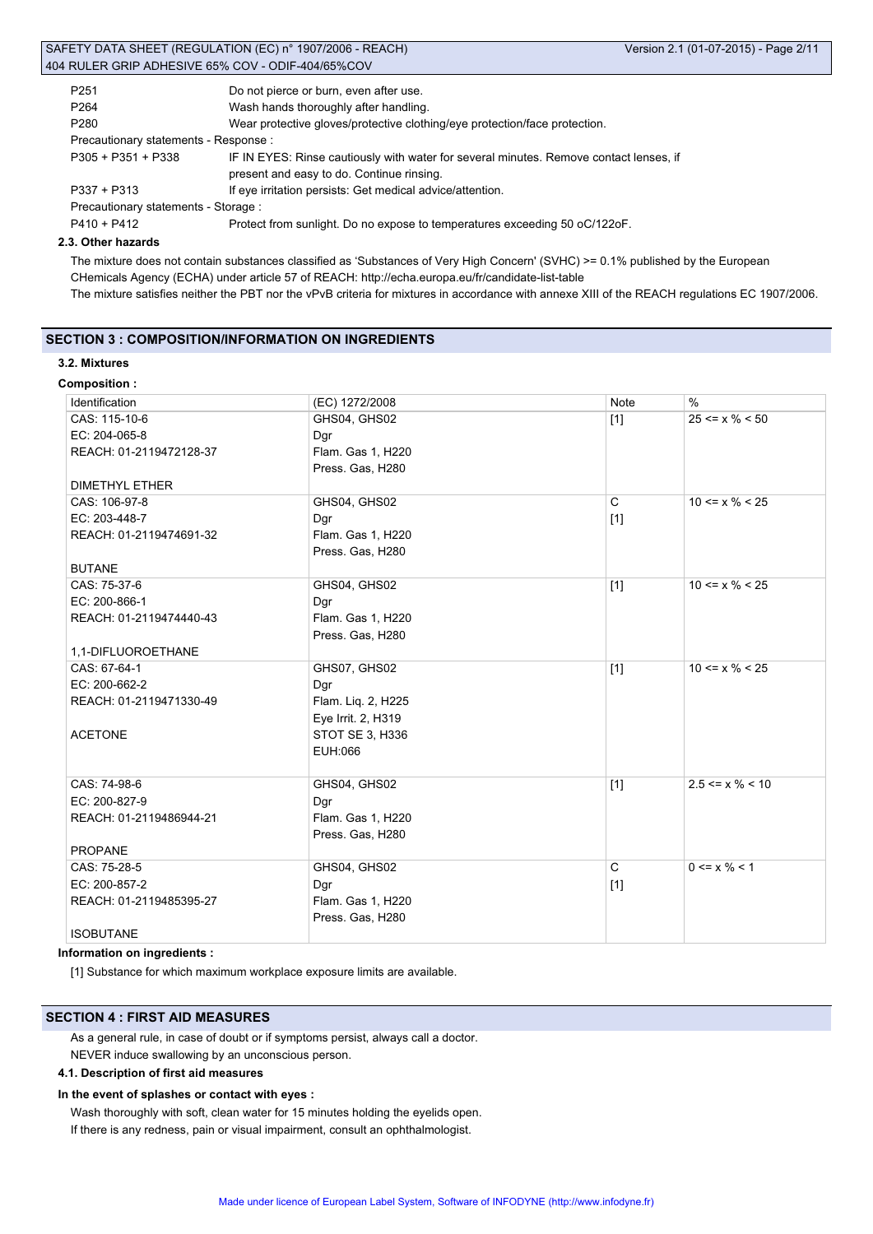|                                       | SAFETY DATA SHEET (REGULATION (EC) n° 1907/2006 - REACH)                               | Version 2.1 (01-07-2015) - Page 2/11 |
|---------------------------------------|----------------------------------------------------------------------------------------|--------------------------------------|
|                                       | 404 RULER GRIP ADHESIVE 65% COV - ODIF-404/65%COV                                      |                                      |
| P <sub>251</sub>                      | Do not pierce or burn, even after use.                                                 |                                      |
| P <sub>264</sub>                      | Wash hands thoroughly after handling.                                                  |                                      |
| P <sub>280</sub>                      | Wear protective gloves/protective clothing/eye protection/face protection.             |                                      |
| Precautionary statements - Response : |                                                                                        |                                      |
| $P305 + P351 + P338$                  | IF IN EYES: Rinse cautiously with water for several minutes. Remove contact lenses, if |                                      |
|                                       | present and easy to do. Continue rinsing.                                              |                                      |
| $P337 + P313$                         | If eye irritation persists: Get medical advice/attention.                              |                                      |

Precautionary statements - Storage :

P410 + P412 Protect from sunlight. Do no expose to temperatures exceeding 50 oC/122oF.

### **2.3. Other hazards**

The mixture does not contain substances classified as 'Substances of Very High Concern' (SVHC) >= 0.1% published by the European CHemicals Agency (ECHA) under article 57 of REACH: http://echa.europa.eu/fr/candidate-list-table The mixture satisfies neither the PBT nor the vPvB criteria for mixtures in accordance with annexe XIII of the REACH regulations EC 1907/2006.

# **SECTION 3 : COMPOSITION/INFORMATION ON INGREDIENTS**

### **3.2. Mixtures**

**Composition :**

| Identification          | (EC) 1272/2008     | Note  | $\frac{0}{0}$                 |
|-------------------------|--------------------|-------|-------------------------------|
| CAS: 115-10-6           | GHS04, GHS02       | $[1]$ | $25 \le x \% \le 50$          |
| EC: 204-065-8           | Dgr                |       |                               |
| REACH: 01-2119472128-37 | Flam. Gas 1, H220  |       |                               |
|                         | Press. Gas, H280   |       |                               |
| <b>DIMETHYL ETHER</b>   |                    |       |                               |
| CAS: 106-97-8           | GHS04, GHS02       | C     | $10 \le x \frac{9}{6} \le 25$ |
| EC: 203-448-7           | Dgr                | $[1]$ |                               |
| REACH: 01-2119474691-32 | Flam. Gas 1, H220  |       |                               |
|                         | Press. Gas, H280   |       |                               |
| <b>BUTANE</b>           |                    |       |                               |
| CAS: 75-37-6            | GHS04, GHS02       | $[1]$ | $10 \le x \% \le 25$          |
| EC: 200-866-1           | Dgr                |       |                               |
| REACH: 01-2119474440-43 | Flam. Gas 1, H220  |       |                               |
|                         | Press. Gas, H280   |       |                               |
| 1,1-DIFLUOROETHANE      |                    |       |                               |
| CAS: 67-64-1            | GHS07, GHS02       | $[1]$ | $10 \le x \% \le 25$          |
| EC: 200-662-2           | Dgr                |       |                               |
| REACH: 01-2119471330-49 | Flam. Liq. 2, H225 |       |                               |
|                         | Eye Irrit. 2, H319 |       |                               |
| <b>ACETONE</b>          | STOT SE 3, H336    |       |                               |
|                         | EUH:066            |       |                               |
|                         |                    |       |                               |
| CAS: 74-98-6            | GHS04, GHS02       | $[1]$ | $2.5 \le x \% \le 10$         |
| EC: 200-827-9           | Dgr                |       |                               |
| REACH: 01-2119486944-21 | Flam. Gas 1, H220  |       |                               |
|                         | Press. Gas, H280   |       |                               |
| <b>PROPANE</b>          |                    |       |                               |
| CAS: 75-28-5            | GHS04, GHS02       | C     | $0 \le x \frac{9}{6} \le 1$   |
| EC: 200-857-2           | Dgr                | $[1]$ |                               |
| REACH: 01-2119485395-27 | Flam. Gas 1, H220  |       |                               |
|                         | Press. Gas, H280   |       |                               |
| <b>ISOBUTANE</b>        |                    |       |                               |

### **Information on ingredients :**

[1] Substance for which maximum workplace exposure limits are available.

### **SECTION 4 : FIRST AID MEASURES**

As a general rule, in case of doubt or if symptoms persist, always call a doctor. NEVER induce swallowing by an unconscious person.

### **4.1. Description of first aid measures**

# **In the event of splashes or contact with eyes :**

Wash thoroughly with soft, clean water for 15 minutes holding the eyelids open. If there is any redness, pain or visual impairment, consult an ophthalmologist.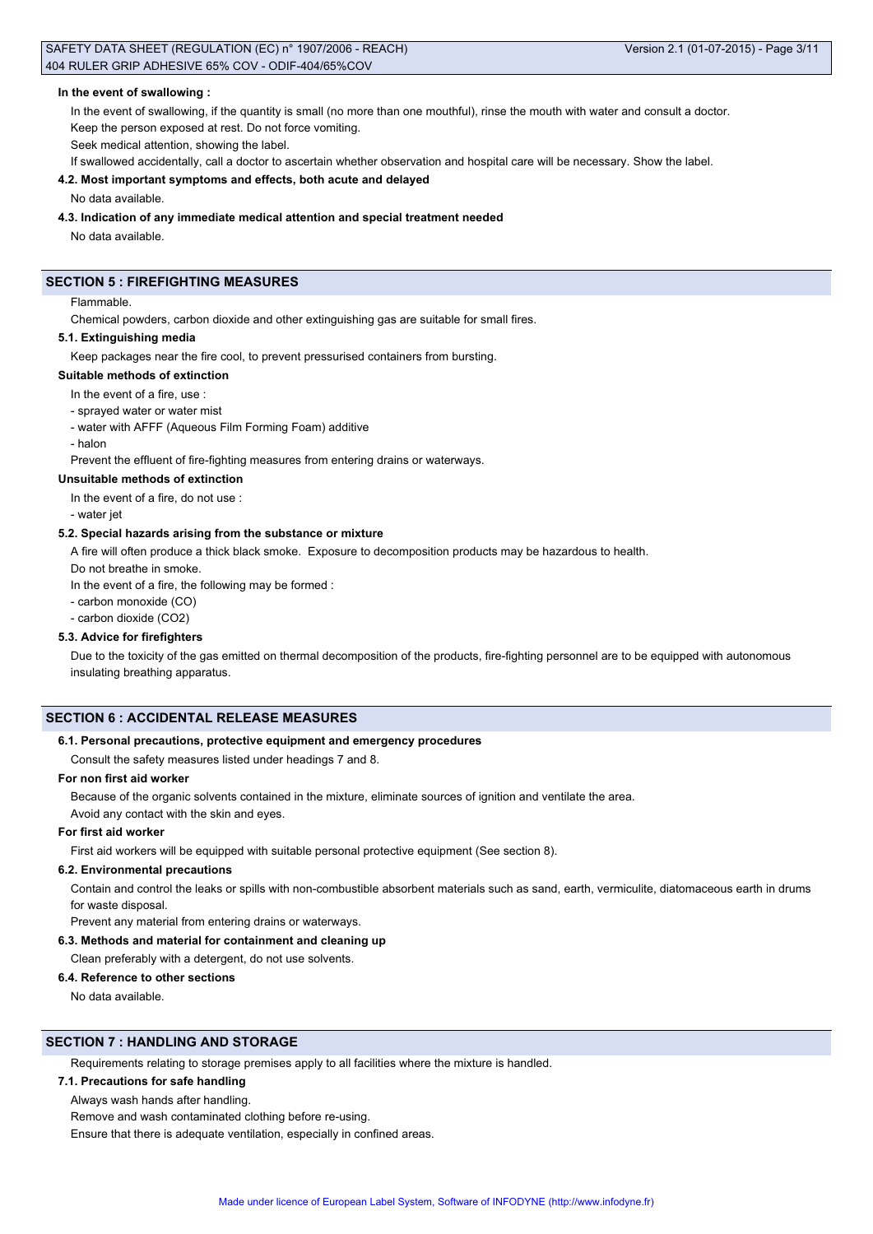### SAFETY DATA SHEET (REGULATION (EC) n° 1907/2006 - REACH) Version 2.1 (01-07-2015) - Page 3/11 404 RULER GRIP ADHESIVE 65% COV - ODIF-404/65%COV

#### **In the event of swallowing :**

In the event of swallowing, if the quantity is small (no more than one mouthful), rinse the mouth with water and consult a doctor.

Keep the person exposed at rest. Do not force vomiting.

Seek medical attention, showing the label.

If swallowed accidentally, call a doctor to ascertain whether observation and hospital care will be necessary. Show the label.

### **4.2. Most important symptoms and effects, both acute and delayed**

#### No data available.

#### **4.3. Indication of any immediate medical attention and special treatment needed**

No data available.

# **SECTION 5 : FIREFIGHTING MEASURES**

#### Flammable.

Chemical powders, carbon dioxide and other extinguishing gas are suitable for small fires.

### **5.1. Extinguishing media**

Keep packages near the fire cool, to prevent pressurised containers from bursting.

### **Suitable methods of extinction**

In the event of a fire, use :

- sprayed water or water mist
- water with AFFF (Aqueous Film Forming Foam) additive
- halor

Prevent the effluent of fire-fighting measures from entering drains or waterways.

#### **Unsuitable methods of extinction**

In the event of a fire, do not use :

- water jet

#### **5.2. Special hazards arising from the substance or mixture**

A fire will often produce a thick black smoke. Exposure to decomposition products may be hazardous to health.

Do not breathe in smoke.

In the event of a fire, the following may be formed :

- carbon monoxide (CO)
- carbon dioxide (CO2)

### **5.3. Advice for firefighters**

Due to the toxicity of the gas emitted on thermal decomposition of the products, fire-fighting personnel are to be equipped with autonomous insulating breathing apparatus.

#### **SECTION 6 : ACCIDENTAL RELEASE MEASURES**

#### **6.1. Personal precautions, protective equipment and emergency procedures**

Consult the safety measures listed under headings 7 and 8.

### **For non first aid worker**

Because of the organic solvents contained in the mixture, eliminate sources of ignition and ventilate the area.

# Avoid any contact with the skin and eyes.

### **For first aid worker**

First aid workers will be equipped with suitable personal protective equipment (See section 8).

#### **6.2. Environmental precautions**

Contain and control the leaks or spills with non-combustible absorbent materials such as sand, earth, vermiculite, diatomaceous earth in drums for waste disposal.

Prevent any material from entering drains or waterways.

#### **6.3. Methods and material for containment and cleaning up**

Clean preferably with a detergent, do not use solvents.

#### **6.4. Reference to other sections**

No data available.

# **SECTION 7 : HANDLING AND STORAGE**

Requirements relating to storage premises apply to all facilities where the mixture is handled.

# **7.1. Precautions for safe handling**

Always wash hands after handling.

Remove and wash contaminated clothing before re-using.

Ensure that there is adequate ventilation, especially in confined areas.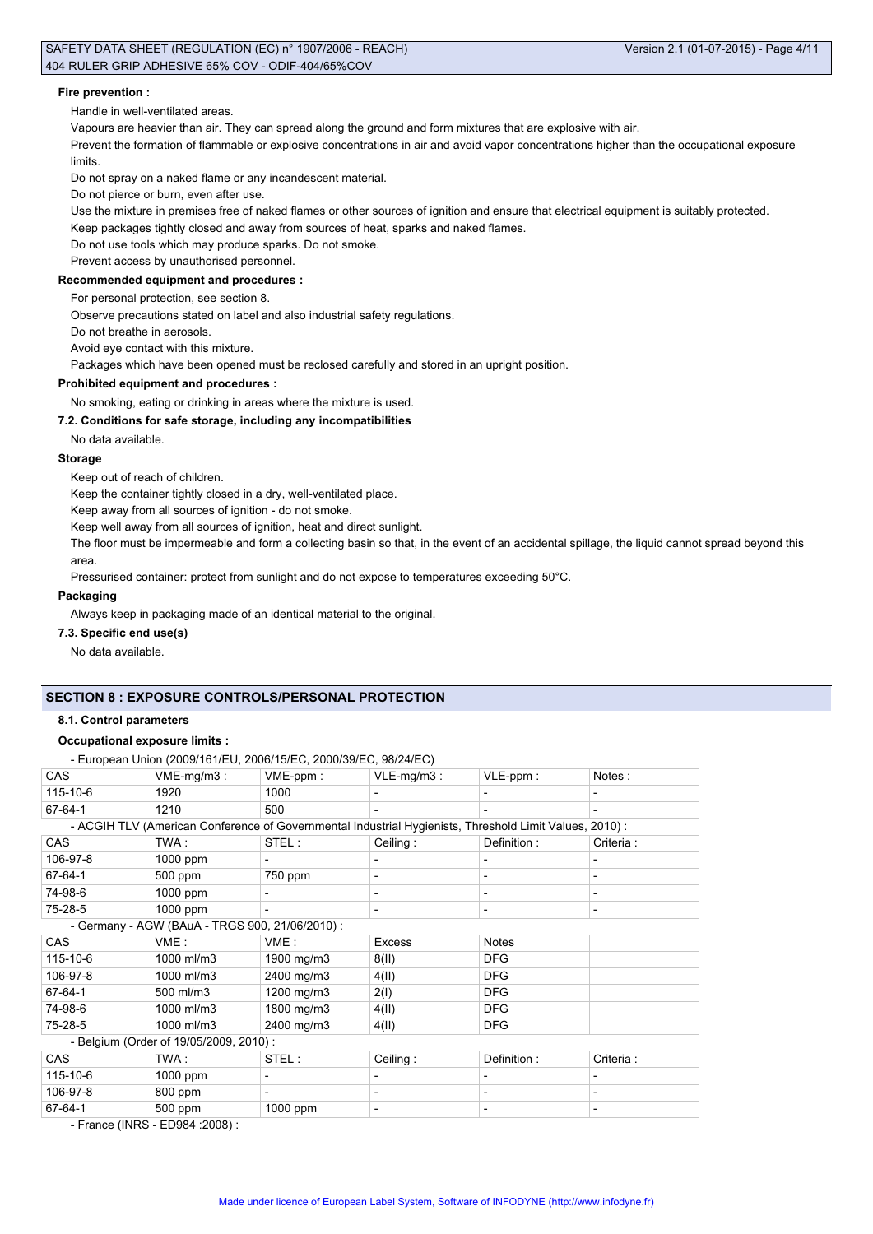### SAFETY DATA SHEET (REGULATION (EC) n° 1907/2006 - REACH) Version 2.1 (01-07-2015) - Page 4/11 404 RULER GRIP ADHESIVE 65% COV - ODIF-404/65%COV

#### **Fire prevention :**

Handle in well-ventilated areas.

Vapours are heavier than air. They can spread along the ground and form mixtures that are explosive with air.

Prevent the formation of flammable or explosive concentrations in air and avoid vapor concentrations higher than the occupational exposure limits.

Do not spray on a naked flame or any incandescent material.

Do not pierce or burn, even after use.

Use the mixture in premises free of naked flames or other sources of ignition and ensure that electrical equipment is suitably protected.

Keep packages tightly closed and away from sources of heat, sparks and naked flames.

Do not use tools which may produce sparks. Do not smoke.

Prevent access by unauthorised personnel.

# **Recommended equipment and procedures :**

For personal protection, see section 8.

Observe precautions stated on label and also industrial safety regulations.

Do not breathe in aerosols.

Avoid eye contact with this mixture.

Packages which have been opened must be reclosed carefully and stored in an upright position.

#### **Prohibited equipment and procedures :**

No smoking, eating or drinking in areas where the mixture is used.

#### **7.2. Conditions for safe storage, including any incompatibilities**

No data available.

#### **Storage**

Keep out of reach of children.

Keep the container tightly closed in a dry, well-ventilated place.

Keep away from all sources of ignition - do not smoke.

Keep well away from all sources of ignition, heat and direct sunlight.

The floor must be impermeable and form a collecting basin so that, in the event of an accidental spillage, the liquid cannot spread beyond this area.

Pressurised container: protect from sunlight and do not expose to temperatures exceeding 50°C.

#### **Packaging**

Always keep in packaging made of an identical material to the original.

### **7.3. Specific end use(s)**

No data available.

# **SECTION 8 : EXPOSURE CONTROLS/PERSONAL PROTECTION**

### **8.1. Control parameters**

# **Occupational exposure limits :**

- European Union (2009/161/EU, 2006/15/EC, 2000/39/EC, 98/24/EC)

|                                                |                                        | = aropoarr omon (= 000/ rom = 0, = 000/ rol = 0, = 000/ 00/ = 0, 00/ = 1/ = 0 / |                                                                                                        |                          |            |
|------------------------------------------------|----------------------------------------|---------------------------------------------------------------------------------|--------------------------------------------------------------------------------------------------------|--------------------------|------------|
| <b>CAS</b>                                     | $VME-mg/m3$ :                          | VME-ppm:                                                                        | $VLE-mg/m3$ :                                                                                          | VLE-ppm:                 | Notes:     |
| 115-10-6                                       | 1920                                   | 1000                                                                            |                                                                                                        |                          |            |
| 67-64-1                                        | 1210                                   | 500                                                                             | ٠                                                                                                      | $\overline{\phantom{0}}$ | ۰          |
|                                                |                                        |                                                                                 | - ACGIH TLV (American Conference of Governmental Industrial Hygienists, Threshold Limit Values, 2010): |                          |            |
| <b>CAS</b>                                     | TWA :                                  | STEL :                                                                          | Ceiling:                                                                                               | Definition :             | Criteria : |
| 106-97-8                                       | 1000 ppm                               |                                                                                 |                                                                                                        |                          |            |
| 67-64-1                                        | 500 ppm                                | 750 ppm                                                                         |                                                                                                        |                          |            |
| 74-98-6                                        | 1000 ppm                               |                                                                                 |                                                                                                        |                          |            |
| 75-28-5                                        | 1000 ppm                               |                                                                                 |                                                                                                        | -                        |            |
| - Germany - AGW (BAuA - TRGS 900, 21/06/2010): |                                        |                                                                                 |                                                                                                        |                          |            |
| <b>CAS</b>                                     | VME:                                   | VME:                                                                            | <b>Excess</b>                                                                                          | <b>Notes</b>             |            |
| 115-10-6                                       | 1000 ml/m3                             | 1900 mg/m3                                                                      | 8(11)                                                                                                  | <b>DFG</b>               |            |
| 106-97-8                                       | 1000 ml/m3                             | 2400 mg/m3                                                                      | 4(11)                                                                                                  | <b>DFG</b>               |            |
| 67-64-1                                        | 500 ml/m3                              | 1200 mg/m3                                                                      | 2(1)                                                                                                   | <b>DFG</b>               |            |
| 74-98-6                                        | 1000 ml/m3                             | 1800 mg/m3                                                                      | 4(11)                                                                                                  | <b>DFG</b>               |            |
| 75-28-5                                        | 1000 ml/m3                             | 2400 mg/m3                                                                      | 4(II)                                                                                                  | <b>DFG</b>               |            |
|                                                | - Belgium (Order of 19/05/2009, 2010): |                                                                                 |                                                                                                        |                          |            |
| <b>CAS</b>                                     | TWA:                                   | STEL:                                                                           | Ceiling:                                                                                               | Definition:              | Criteria:  |
| 115-10-6                                       | 1000 ppm                               |                                                                                 |                                                                                                        | $\blacksquare$           |            |
| 106-97-8                                       | 800 ppm                                |                                                                                 |                                                                                                        |                          |            |

67-64-1 500 ppm 1000 ppm - - -

- France (INRS - ED984 :2008) :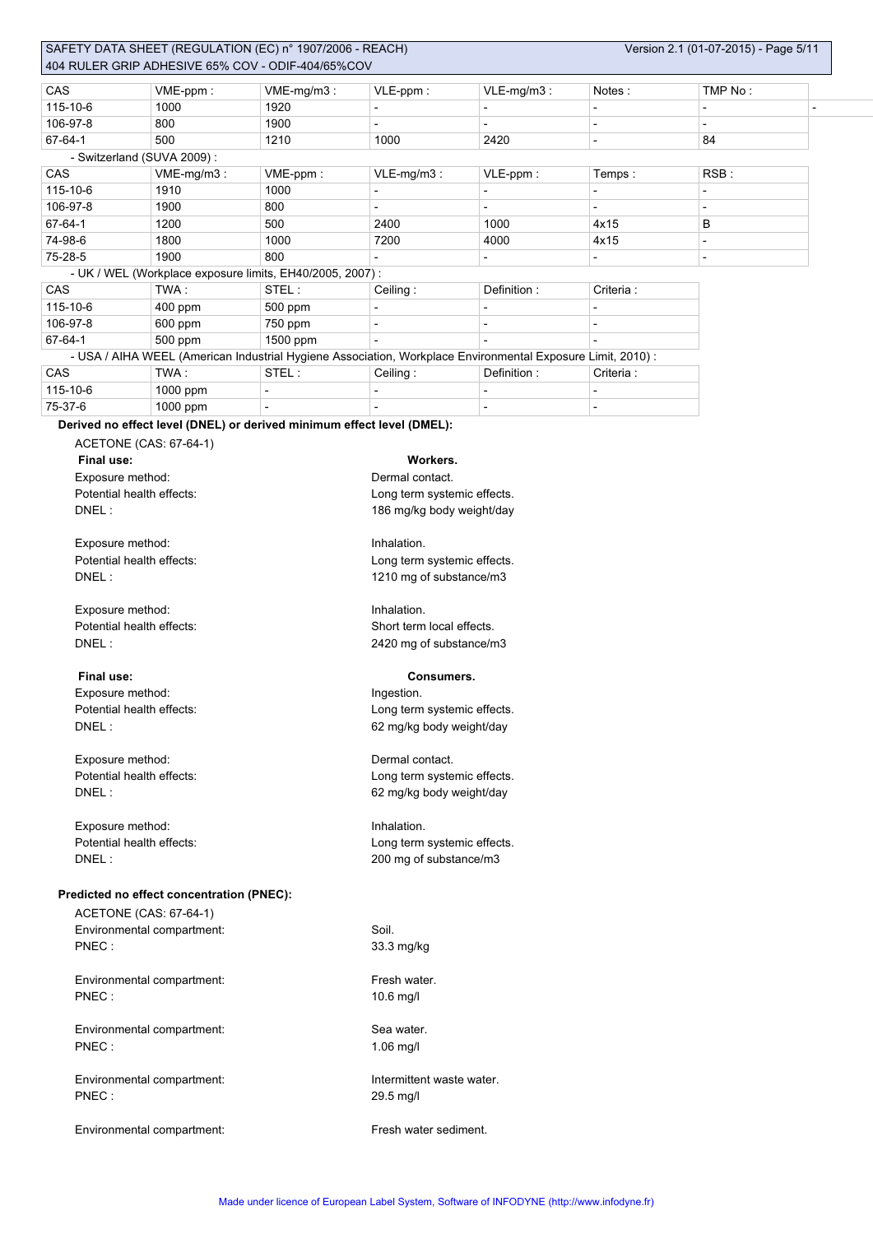|                           |                                                                                                             |                          |                             |                          | Notes:                   | TMP No:                  |  |  |  |
|---------------------------|-------------------------------------------------------------------------------------------------------------|--------------------------|-----------------------------|--------------------------|--------------------------|--------------------------|--|--|--|
| CAS<br>115-10-6           | VME-ppm:                                                                                                    | VME-mg/m3:               | VLE-ppm:                    | VLE-mg/m3:               |                          |                          |  |  |  |
| 106-97-8                  | 1000                                                                                                        | 1920<br>1900             | $\overline{a}$              | $\overline{\phantom{a}}$ | $\overline{a}$           | $\overline{\phantom{a}}$ |  |  |  |
|                           | 800                                                                                                         |                          |                             | $\overline{\phantom{a}}$ | L,                       | $\overline{\phantom{0}}$ |  |  |  |
| 67-64-1                   | 500                                                                                                         | 1210                     | 1000                        | 2420                     | L,                       | 84                       |  |  |  |
|                           | - Switzerland (SUVA 2009):                                                                                  |                          |                             |                          |                          |                          |  |  |  |
| CAS                       | VME-mg/m3:                                                                                                  | VME-ppm:                 | VLE-mg/m3:                  | VLE-ppm:                 | Temps:                   | RSB:                     |  |  |  |
| 115-10-6                  | 1910                                                                                                        | 1000                     | $\overline{a}$              | $\blacksquare$           | L,                       | $\overline{\phantom{a}}$ |  |  |  |
| 106-97-8                  | 1900                                                                                                        | 800                      | $\overline{\phantom{a}}$    | $\blacksquare$           | L,                       | $\overline{\phantom{0}}$ |  |  |  |
| 67-64-1                   | 1200                                                                                                        | 500                      | 2400                        | 1000                     | 4x15                     | в                        |  |  |  |
| 74-98-6                   | 1800                                                                                                        | 1000                     | 7200                        | 4000                     | 4x15                     | $\overline{\phantom{a}}$ |  |  |  |
| 75-28-5                   | 1900                                                                                                        | 800                      | $\overline{\phantom{a}}$    | $\overline{\phantom{a}}$ | $\overline{\phantom{a}}$ | $\overline{\phantom{a}}$ |  |  |  |
|                           | - UK / WEL (Workplace exposure limits, EH40/2005, 2007) :                                                   |                          |                             |                          |                          |                          |  |  |  |
| CAS                       | TWA:                                                                                                        | STEL:                    | Ceiling:                    | Definition:              | Criteria :               |                          |  |  |  |
| 115-10-6                  | 400 ppm                                                                                                     | 500 ppm                  |                             |                          |                          |                          |  |  |  |
| 106-97-8                  | 600 ppm                                                                                                     | 750 ppm                  | $\overline{a}$              | ÷,                       | ÷,                       |                          |  |  |  |
| 67-64-1                   | 500 ppm                                                                                                     | 1500 ppm                 |                             |                          |                          |                          |  |  |  |
|                           | - USA / AIHA WEEL (American Industrial Hygiene Association, Workplace Environmental Exposure Limit, 2010) : |                          |                             |                          |                          |                          |  |  |  |
| CAS                       | TWA:                                                                                                        | STEL:                    | Ceiling:                    | Definition:              | Criteria:                |                          |  |  |  |
| 115-10-6                  | 1000 ppm                                                                                                    | $\overline{\phantom{a}}$ |                             | $\overline{\phantom{a}}$ | ÷,                       |                          |  |  |  |
|                           |                                                                                                             |                          |                             |                          |                          |                          |  |  |  |
| 75-37-6                   | 1000 ppm                                                                                                    |                          |                             | $\overline{\phantom{a}}$ | ÷,                       |                          |  |  |  |
|                           | Derived no effect level (DNEL) or derived minimum effect level (DMEL):                                      |                          |                             |                          |                          |                          |  |  |  |
|                           | ACETONE (CAS: 67-64-1)                                                                                      |                          |                             |                          |                          |                          |  |  |  |
| Final use:                |                                                                                                             |                          | Workers.                    |                          |                          |                          |  |  |  |
| Exposure method:          |                                                                                                             |                          | Dermal contact.             |                          |                          |                          |  |  |  |
|                           | Potential health effects:                                                                                   |                          | Long term systemic effects. |                          |                          |                          |  |  |  |
| DNEL:                     |                                                                                                             |                          | 186 mg/kg body weight/day   |                          |                          |                          |  |  |  |
|                           |                                                                                                             |                          |                             |                          |                          |                          |  |  |  |
| Exposure method:          |                                                                                                             |                          | Inhalation.                 |                          |                          |                          |  |  |  |
|                           | Potential health effects:                                                                                   |                          |                             |                          |                          |                          |  |  |  |
|                           |                                                                                                             |                          | Long term systemic effects. |                          |                          |                          |  |  |  |
| DNEL:                     |                                                                                                             |                          | 1210 mg of substance/m3     |                          |                          |                          |  |  |  |
|                           |                                                                                                             |                          |                             |                          |                          |                          |  |  |  |
| Exposure method:          |                                                                                                             |                          | Inhalation.                 |                          |                          |                          |  |  |  |
| Potential health effects: |                                                                                                             |                          | Short term local effects.   |                          |                          |                          |  |  |  |
| DNEL:                     |                                                                                                             |                          | 2420 mg of substance/m3     |                          |                          |                          |  |  |  |
|                           |                                                                                                             |                          |                             |                          |                          |                          |  |  |  |
| Final use:                |                                                                                                             |                          | Consumers.                  |                          |                          |                          |  |  |  |
| Exposure method:          |                                                                                                             |                          | Ingestion.                  |                          |                          |                          |  |  |  |
|                           | Potential health effects:                                                                                   |                          | Long term systemic effects. |                          |                          |                          |  |  |  |
| DNEL:                     |                                                                                                             |                          |                             | 62 mg/kg body weight/day |                          |                          |  |  |  |
|                           |                                                                                                             |                          |                             |                          |                          |                          |  |  |  |
|                           |                                                                                                             |                          |                             |                          |                          |                          |  |  |  |
|                           |                                                                                                             |                          |                             |                          |                          |                          |  |  |  |
| Exposure method:          |                                                                                                             |                          | Dermal contact.             |                          |                          |                          |  |  |  |
|                           | Potential health effects:                                                                                   |                          | Long term systemic effects. |                          |                          |                          |  |  |  |
| DNEL:                     |                                                                                                             |                          | 62 mg/kg body weight/day    |                          |                          |                          |  |  |  |
|                           |                                                                                                             |                          |                             |                          |                          |                          |  |  |  |
| Exposure method:          |                                                                                                             |                          | Inhalation.                 |                          |                          |                          |  |  |  |
|                           | Potential health effects:                                                                                   |                          | Long term systemic effects. |                          |                          |                          |  |  |  |
| DNEL:                     |                                                                                                             |                          |                             |                          |                          |                          |  |  |  |
|                           |                                                                                                             |                          | 200 mg of substance/m3      |                          |                          |                          |  |  |  |
|                           |                                                                                                             |                          |                             |                          |                          |                          |  |  |  |
|                           | Predicted no effect concentration (PNEC):                                                                   |                          |                             |                          |                          |                          |  |  |  |
|                           | ACETONE (CAS: 67-64-1)                                                                                      |                          |                             |                          |                          |                          |  |  |  |
|                           | Environmental compartment:                                                                                  |                          | Soil.                       |                          |                          |                          |  |  |  |
| PNEC:                     |                                                                                                             |                          | 33.3 mg/kg                  |                          |                          |                          |  |  |  |
|                           |                                                                                                             |                          |                             |                          |                          |                          |  |  |  |
|                           | Environmental compartment:                                                                                  |                          | Fresh water.                |                          |                          |                          |  |  |  |
| PNEC:                     |                                                                                                             |                          | 10.6 mg/l                   |                          |                          |                          |  |  |  |
|                           |                                                                                                             |                          |                             |                          |                          |                          |  |  |  |
|                           |                                                                                                             |                          |                             |                          |                          |                          |  |  |  |
|                           | Environmental compartment:                                                                                  |                          | Sea water.                  |                          |                          |                          |  |  |  |
| PNEC:                     |                                                                                                             |                          | $1.06$ mg/l                 |                          |                          |                          |  |  |  |
|                           |                                                                                                             |                          |                             |                          |                          |                          |  |  |  |
|                           | Environmental compartment:                                                                                  |                          | Intermittent waste water.   |                          |                          |                          |  |  |  |
| PNEC:                     |                                                                                                             |                          | 29.5 mg/l                   |                          |                          |                          |  |  |  |
|                           | Environmental compartment:                                                                                  |                          | Fresh water sediment.       |                          |                          |                          |  |  |  |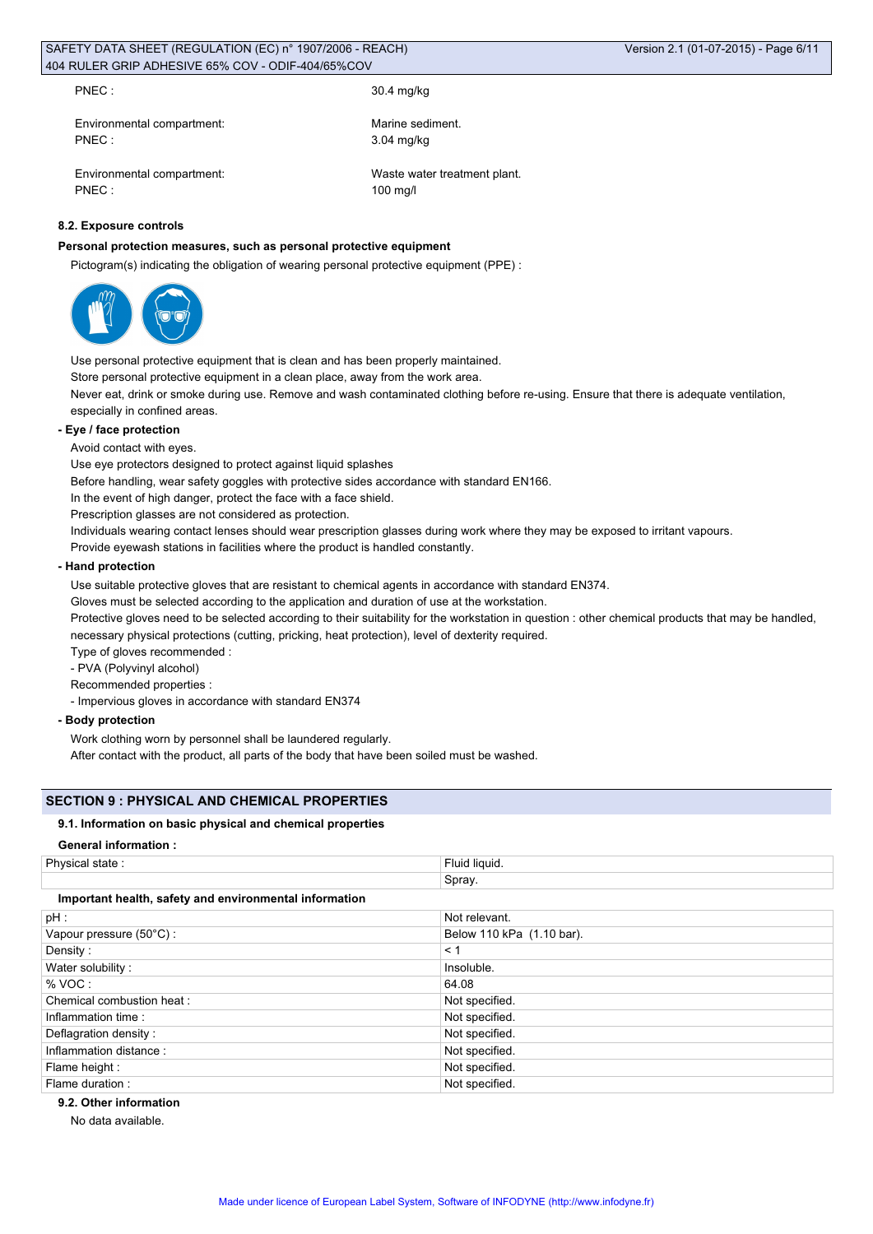PNEC : 30.4 mg/kg

Environmental compartment: Marine sediment. PNEC : 3.04 mg/kg

Environmental compartment: Waste water treatment plant. PNEC : 100 mg/l

## **8.2. Exposure controls**

### **Personal protection measures, such as personal protective equipment**

Pictogram(s) indicating the obligation of wearing personal protective equipment (PPE) :



Use personal protective equipment that is clean and has been properly maintained. Store personal protective equipment in a clean place, away from the work area.

Never eat, drink or smoke during use. Remove and wash contaminated clothing before re-using. Ensure that there is adequate ventilation, especially in confined areas.

#### **- Eye / face protection**

Avoid contact with eyes.

Use eye protectors designed to protect against liquid splashes

Before handling, wear safety goggles with protective sides accordance with standard EN166.

In the event of high danger, protect the face with a face shield.

Prescription glasses are not considered as protection.

Individuals wearing contact lenses should wear prescription glasses during work where they may be exposed to irritant vapours.

Provide eyewash stations in facilities where the product is handled constantly.

### **- Hand protection**

Use suitable protective gloves that are resistant to chemical agents in accordance with standard EN374.

Gloves must be selected according to the application and duration of use at the workstation.

Protective gloves need to be selected according to their suitability for the workstation in question : other chemical products that may be handled, necessary physical protections (cutting, pricking, heat protection), level of dexterity required.

Type of gloves recommended :

- PVA (Polyvinyl alcohol)

Recommended properties :

- Impervious gloves in accordance with standard EN374

### **- Body protection**

Work clothing worn by personnel shall be laundered regularly.

After contact with the product, all parts of the body that have been soiled must be washed.

### **SECTION 9 : PHYSICAL AND CHEMICAL PROPERTIES**

### **9.1. Information on basic physical and chemical properties**

**General information :**

| Physical state:                                        | Fluid liquid.             |  |  |
|--------------------------------------------------------|---------------------------|--|--|
|                                                        | Spray.                    |  |  |
| Important health, safety and environmental information |                           |  |  |
| pH :                                                   | Not relevant.             |  |  |
| Vapour pressure (50°C):                                | Below 110 kPa (1.10 bar). |  |  |
| Density:                                               | < 1                       |  |  |
| Water solubility:                                      | Insoluble.                |  |  |
| % VOC:                                                 | 64.08                     |  |  |
| Chemical combustion heat:                              | Not specified.            |  |  |
| Inflammation time:                                     | Not specified.            |  |  |
| Deflagration density:                                  | Not specified.            |  |  |
| Inflammation distance:                                 | Not specified.            |  |  |
| Flame height :                                         | Not specified.            |  |  |
| Flame duration :                                       | Not specified.            |  |  |

**9.2. Other information**

No data available.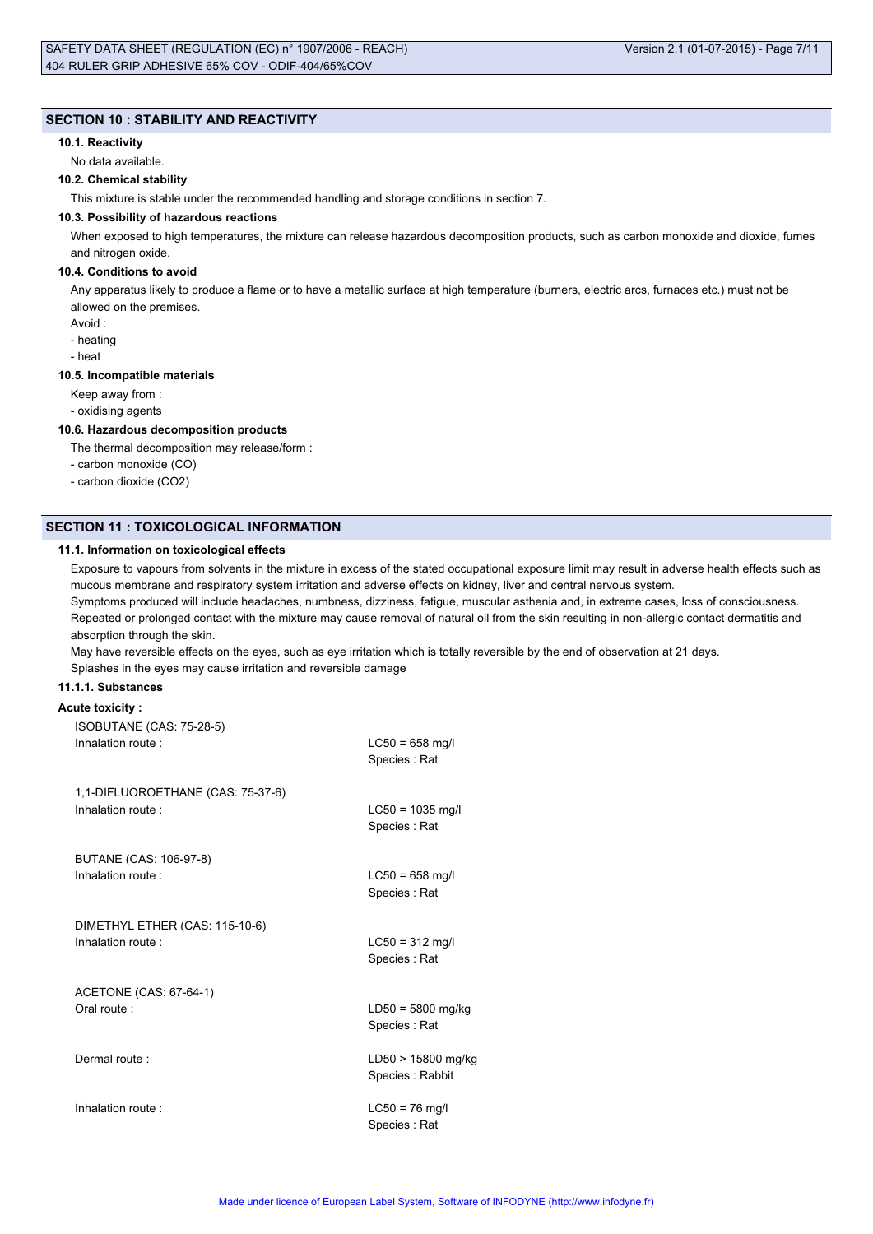### **SECTION 10 : STABILITY AND REACTIVITY**

#### **10.1. Reactivity**

No data available.

#### **10.2. Chemical stability**

This mixture is stable under the recommended handling and storage conditions in section 7.

#### **10.3. Possibility of hazardous reactions**

When exposed to high temperatures, the mixture can release hazardous decomposition products, such as carbon monoxide and dioxide, fumes and nitrogen oxide.

#### **10.4. Conditions to avoid**

Any apparatus likely to produce a flame or to have a metallic surface at high temperature (burners, electric arcs, furnaces etc.) must not be allowed on the premises.

- Avoid :
- heating
- heat

#### **10.5. Incompatible materials**

Keep away from :

- oxidising agents

#### **10.6. Hazardous decomposition products**

The thermal decomposition may release/form :

- carbon monoxide (CO)
- carbon dioxide (CO2)

#### **SECTION 11 : TOXICOLOGICAL INFORMATION**

#### **11.1. Information on toxicological effects**

Exposure to vapours from solvents in the mixture in excess of the stated occupational exposure limit may result in adverse health effects such as mucous membrane and respiratory system irritation and adverse effects on kidney, liver and central nervous system.

Symptoms produced will include headaches, numbness, dizziness, fatigue, muscular asthenia and, in extreme cases, loss of consciousness. Repeated or prolonged contact with the mixture may cause removal of natural oil from the skin resulting in non-allergic contact dermatitis and absorption through the skin.

May have reversible effects on the eyes, such as eye irritation which is totally reversible by the end of observation at 21 days. Splashes in the eyes may cause irritation and reversible damage

### **11.1.1. Substances**

### **Acute toxicity :**

| ISOBUTANE (CAS: 75-28-5)          | $LC50 = 658$ mg/l                     |
|-----------------------------------|---------------------------------------|
| Inhalation route:                 | Species: Rat                          |
| 1,1-DIFLUOROETHANE (CAS: 75-37-6) | $LC50 = 1035$ mg/l                    |
| Inhalation route:                 | Species: Rat                          |
| BUTANE (CAS: 106-97-8)            | $LC50 = 658$ mg/l                     |
| Inhalation route:                 | Species: Rat                          |
| DIMETHYL ETHER (CAS: 115-10-6)    | $LC50 = 312$ mg/l                     |
| Inhalation route:                 | Species: Rat                          |
| ACETONE (CAS: 67-64-1)            | $LD50 = 5800$ mg/kg                   |
| Oral route:                       | Species: Rat                          |
| Dermal route:                     | LD50 > 15800 mg/kg<br>Species: Rabbit |
| Inhalation route:                 | $LC50 = 76$ mg/l<br>Species : Rat     |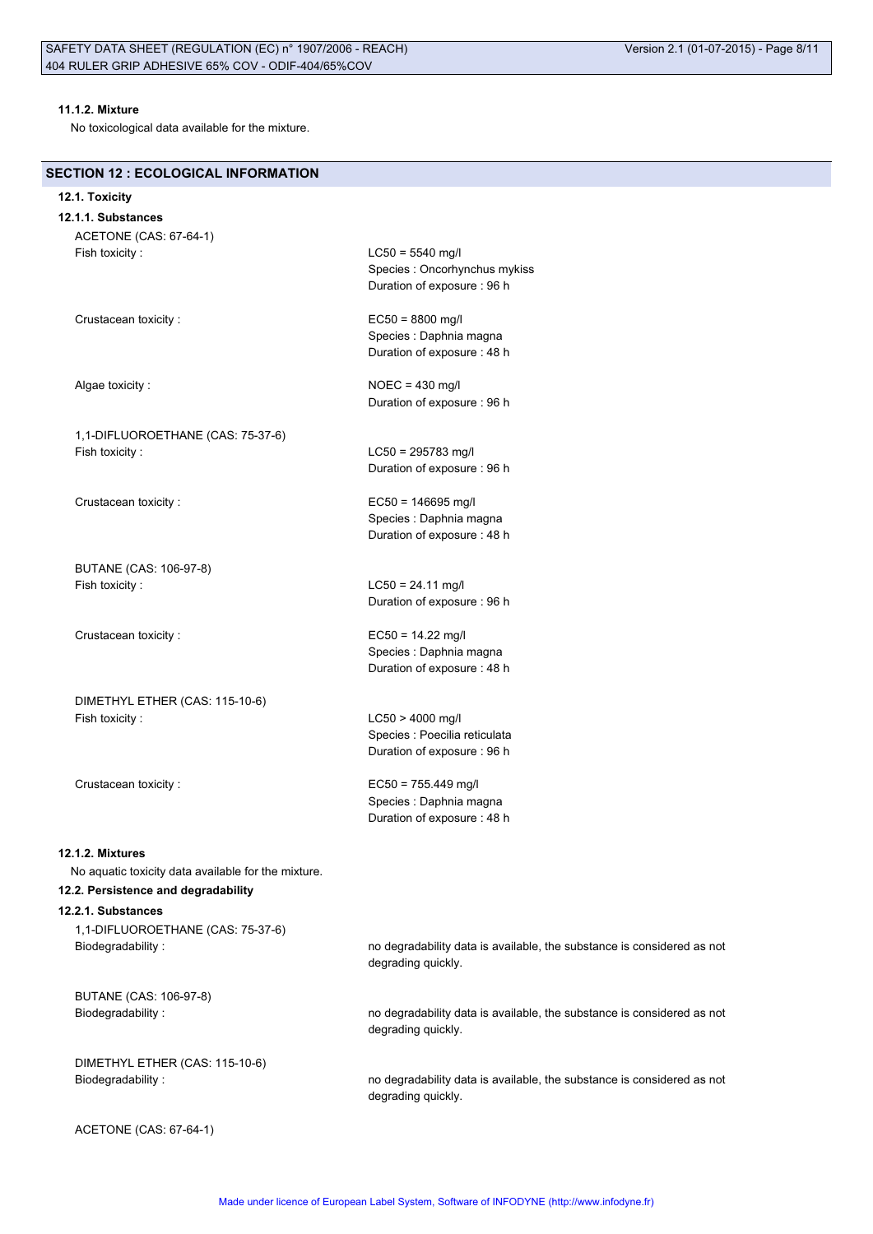### **11.1.2. Mixture**

No toxicological data available for the mixture.

### **SECTION 12 : ECOLOGICAL INFORMATION**

#### **12.1. Toxicity**

**12.1.1. Substances** ACETONE (CAS: 67-64-1) Fish toxicity : LC50 = 5540 mg/l

1,1-DIFLUOROETHANE (CAS: 75-37-6) Fish toxicity : LC50 = 295783 mg/l

Crustacean toxicity : EC50 = 146695 mg/l

BUTANE (CAS: 106-97-8) Fish toxicity : LC50 = 24.11 mg/l

DIMETHYL ETHER (CAS: 115-10-6) Fish toxicity : LC50 > 4000 mg/l

Duration of exposure : 96 h Crustacean toxicity : EC50 = 8800 mg/l Species : Daphnia magna Duration of exposure : 48 h

Species : Oncorhynchus mykiss

Algae toxicity : NOEC = 430 mg/l Duration of exposure : 96 h

Duration of exposure : 96 h

Species : Daphnia magna Duration of exposure : 48 h

Duration of exposure : 96 h

Crustacean toxicity : EC50 = 14.22 mg/l Species : Daphnia magna Duration of exposure : 48 h

> Species : Poecilia reticulata Duration of exposure : 96 h

Crustacean toxicity : EC50 = 755.449 mg/l Species : Daphnia magna Duration of exposure : 48 h

degrading quickly.

degrading quickly.

#### **12.1.2. Mixtures**

No aquatic toxicity data available for the mixture.

## **12.2. Persistence and degradability**

#### **12.2.1. Substances**

1,1-DIFLUOROETHANE (CAS: 75-37-6) Biodegradability : no degradability data is available, the substance is considered as not

BUTANE (CAS: 106-97-8) Biodegradability : no degradability data is available, the substance is considered as not

DIMETHYL ETHER (CAS: 115-10-6)

Biodegradability : no degradability data is available, the substance is considered as not degrading quickly.

ACETONE (CAS: 67-64-1)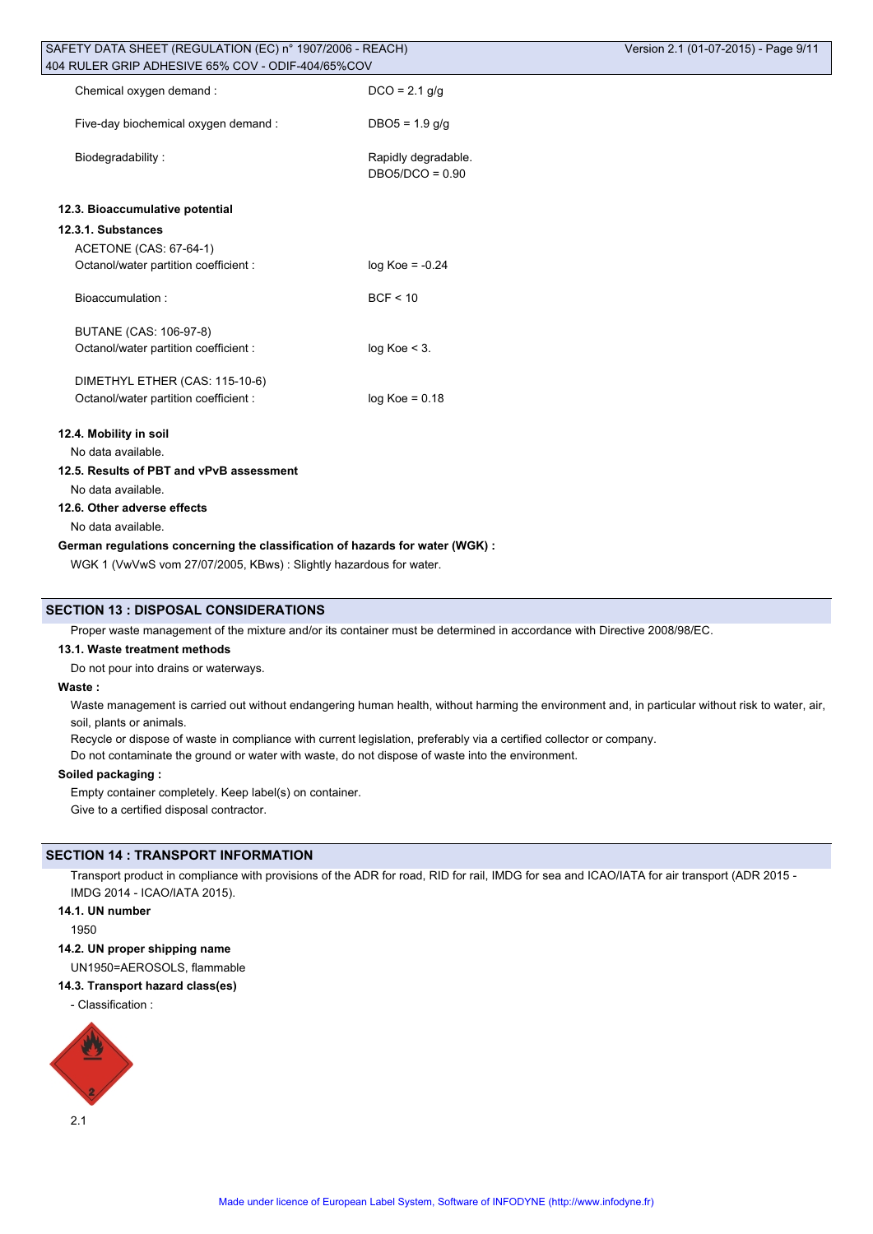| SAFETY DATA SHEET (REGULATION (EC) n° 1907/2006 - REACH)<br>404 RULER GRIP ADHESIVE 65% COV - ODIF-404/65%COV |                                          | Version 2.1 (01-07-2015) - Page 9/11 |
|---------------------------------------------------------------------------------------------------------------|------------------------------------------|--------------------------------------|
| Chemical oxygen demand:                                                                                       | $DCO = 2.1$ g/g                          |                                      |
| Five-day biochemical oxygen demand :                                                                          | $DBO5 = 1.9$ g/g                         |                                      |
| Biodegradability:                                                                                             | Rapidly degradable.<br>$DBO5/DCO = 0.90$ |                                      |
| 12.3. Bioaccumulative potential                                                                               |                                          |                                      |
| 12.3.1. Substances                                                                                            |                                          |                                      |
| ACETONE (CAS: 67-64-1)                                                                                        |                                          |                                      |
| Octanol/water partition coefficient :                                                                         | $log Koe = -0.24$                        |                                      |
| Bioaccumulation:                                                                                              | BCF < 10                                 |                                      |
| BUTANE (CAS: 106-97-8)                                                                                        |                                          |                                      |
| Octanol/water partition coefficient :                                                                         | $log Koe < 3$ .                          |                                      |
| DIMETHYL ETHER (CAS: 115-10-6)                                                                                |                                          |                                      |
| Octanol/water partition coefficient :                                                                         | $log Koe = 0.18$                         |                                      |
| 12.4. Mobility in soil                                                                                        |                                          |                                      |
| No data available.                                                                                            |                                          |                                      |
| 12.5. Results of PBT and vPvB assessment                                                                      |                                          |                                      |
| No data available.                                                                                            |                                          |                                      |
| 12.6. Other adverse effects                                                                                   |                                          |                                      |
| No data available.                                                                                            |                                          |                                      |
| German regulations concerning the classification of hazards for water (WGK) :                                 |                                          |                                      |

WGK 1 (VwVwS vom 27/07/2005, KBws) : Slightly hazardous for water.

### **SECTION 13 : DISPOSAL CONSIDERATIONS**

Proper waste management of the mixture and/or its container must be determined in accordance with Directive 2008/98/EC.

#### **13.1. Waste treatment methods**

Do not pour into drains or waterways.

#### **Waste :**

Waste management is carried out without endangering human health, without harming the environment and, in particular without risk to water, air, soil, plants or animals.

Recycle or dispose of waste in compliance with current legislation, preferably via a certified collector or company.

Do not contaminate the ground or water with waste, do not dispose of waste into the environment.

#### **Soiled packaging :**

Empty container completely. Keep label(s) on container.

Give to a certified disposal contractor.

# **SECTION 14 : TRANSPORT INFORMATION**

Transport product in compliance with provisions of the ADR for road, RID for rail, IMDG for sea and ICAO/IATA for air transport (ADR 2015 - IMDG 2014 - ICAO/IATA 2015).

# **14.1. UN number**

1950

### **14.2. UN proper shipping name**

UN1950=AEROSOLS, flammable

### **14.3. Transport hazard class(es)**

- Classification :

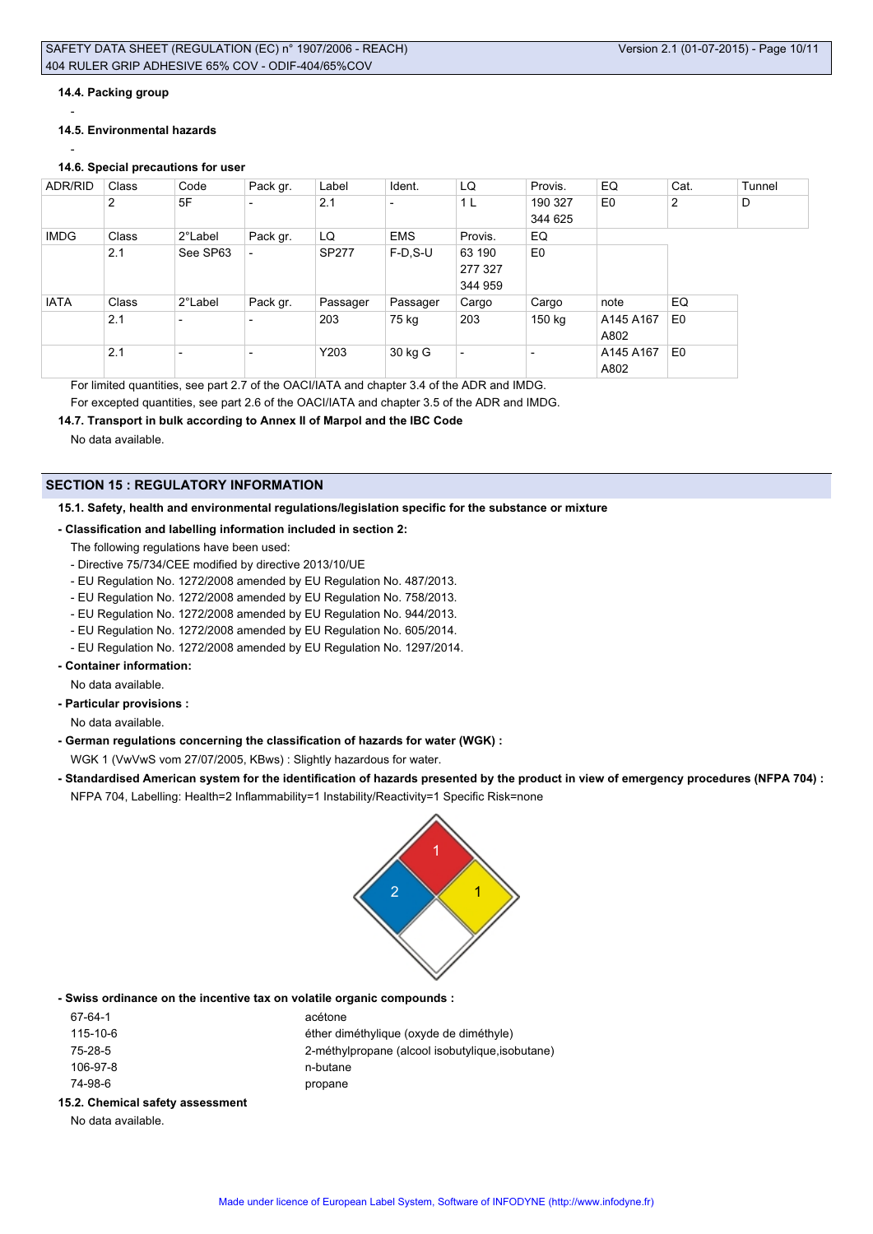#### **14.4. Packing group**

-

#### **14.5. Environmental hazards**

-

# **14.6. Special precautions for user**

| ADR/RID     | Class          | Code                     | Pack gr.                 | Label        | Ident.                   | LQ                       | Provis.        | EQ             | Cat.           | Tunnel |
|-------------|----------------|--------------------------|--------------------------|--------------|--------------------------|--------------------------|----------------|----------------|----------------|--------|
|             | $\overline{2}$ | 5F                       | $\overline{\phantom{0}}$ | 2.1          | $\overline{\phantom{0}}$ | 1 L                      | 190 327        | E <sub>0</sub> | 2              | D      |
|             |                |                          |                          |              |                          |                          | 344 625        |                |                |        |
| <b>IMDG</b> | Class          | 2°Label                  | Pack gr.                 | LQ           | <b>EMS</b>               | Provis.                  | EQ             |                |                |        |
|             | 2.1            | See SP63                 | $\overline{\phantom{0}}$ | <b>SP277</b> | $F-D.S-U$                | 63 190                   | E <sub>0</sub> |                |                |        |
|             |                |                          |                          |              |                          | 277 327                  |                |                |                |        |
|             |                |                          |                          |              |                          | 344 959                  |                |                |                |        |
| <b>IATA</b> | Class          | 2°Label                  | Pack gr.                 | Passager     | Passager                 | Cargo                    | Cargo          | note           | EQ             |        |
|             | 2.1            | $\overline{\phantom{0}}$ | $\overline{\phantom{0}}$ | 203          | 75 kg                    | 203                      | 150 kg         | A145 A167      | E <sub>0</sub> |        |
|             |                |                          |                          |              |                          |                          |                | A802           |                |        |
|             | 2.1            | $\overline{\phantom{0}}$ | $\overline{\phantom{a}}$ | Y203         | 30 kg G                  | $\overline{\phantom{0}}$ | ٠              | A145 A167      | E <sub>0</sub> |        |
|             |                |                          |                          |              |                          |                          |                | A802           |                |        |

For limited quantities, see part 2.7 of the OACI/IATA and chapter 3.4 of the ADR and IMDG. For excepted quantities, see part 2.6 of the OACI/IATA and chapter 3.5 of the ADR and IMDG.

### **14.7. Transport in bulk according to Annex II of Marpol and the IBC Code**

No data available.

### **SECTION 15 : REGULATORY INFORMATION**

### **15.1. Safety, health and environmental regulations/legislation specific for the substance or mixture**

#### **- Classification and labelling information included in section 2:**

The following regulations have been used:

- Directive 75/734/CEE modified by directive 2013/10/UE
- EU Regulation No. 1272/2008 amended by EU Regulation No. 487/2013.
- EU Regulation No. 1272/2008 amended by EU Regulation No. 758/2013.
- EU Regulation No. 1272/2008 amended by EU Regulation No. 944/2013.
- EU Regulation No. 1272/2008 amended by EU Regulation No. 605/2014.
- EU Regulation No. 1272/2008 amended by EU Regulation No. 1297/2014.
- **Container information:**

No data available.

**- Particular provisions :**

No data available.

**- German regulations concerning the classification of hazards for water (WGK) :**

WGK 1 (VwVwS vom 27/07/2005, KBws) : Slightly hazardous for water.

**- Standardised American system for the identification of hazards presented by the product in view of emergency procedures (NFPA 704) :** NFPA 704, Labelling: Health=2 Inflammability=1 Instability/Reactivity=1 Specific Risk=none



**- Swiss ordinance on the incentive tax on volatile organic compounds :**

| 2. Chamical cafety concomment |                                                  |
|-------------------------------|--------------------------------------------------|
| 74-98-6                       | propane                                          |
| 106-97-8                      | n-butane                                         |
| 75-28-5                       | 2-méthylpropane (alcool isobutylique, isobutane) |
| 115-10-6                      | éther diméthylique (oxyde de diméthyle)          |
| 67-64-1                       | acétone                                          |
|                               |                                                  |

# **15.2. Chemical safety assessment**

No data available.